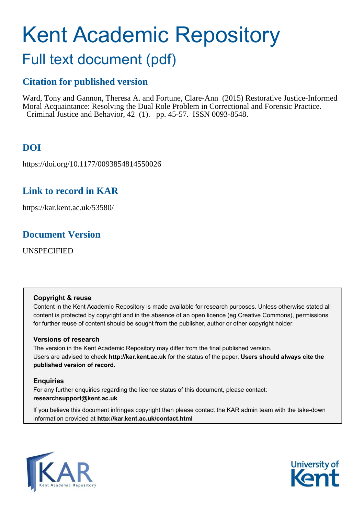# Kent Academic Repository

## Full text document (pdf)

## **Citation for published version**

Ward, Tony and Gannon, Theresa A. and Fortune, Clare-Ann (2015) Restorative Justice-Informed Moral Acquaintance: Resolving the Dual Role Problem in Correctional and Forensic Practice. Criminal Justice and Behavior, 42 (1). pp. 45-57. ISSN 0093-8548.

## **DOI**

https://doi.org/10.1177/0093854814550026

## **Link to record in KAR**

https://kar.kent.ac.uk/53580/

### **Document Version**

UNSPECIFIED

#### **Copyright & reuse**

Content in the Kent Academic Repository is made available for research purposes. Unless otherwise stated all content is protected by copyright and in the absence of an open licence (eg Creative Commons), permissions for further reuse of content should be sought from the publisher, author or other copyright holder.

#### **Versions of research**

The version in the Kent Academic Repository may differ from the final published version. Users are advised to check **http://kar.kent.ac.uk** for the status of the paper. **Users should always cite the published version of record.**

#### **Enquiries**

For any further enquiries regarding the licence status of this document, please contact: **researchsupport@kent.ac.uk**

If you believe this document infringes copyright then please contact the KAR admin team with the take-down information provided at **http://kar.kent.ac.uk/contact.html**



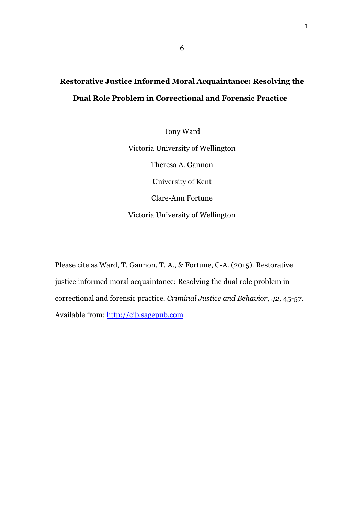## **Restorative Justice Informed Moral Acquaintance: Resolving the Dual Role Problem in Correctional and Forensic Practice**

Tony Ward Victoria University of Wellington Theresa A. Gannon University of Kent Clare-Ann Fortune Victoria University of Wellington

Please cite as Ward, T. Gannon, T. A., & Fortune, C-A. (2015). Restorative justice informed moral acquaintance: Resolving the dual role problem in correctional and forensic practice. *Criminal Justice and Behavior, 42,* 45-57. Available from: http://cjb.sagepub.com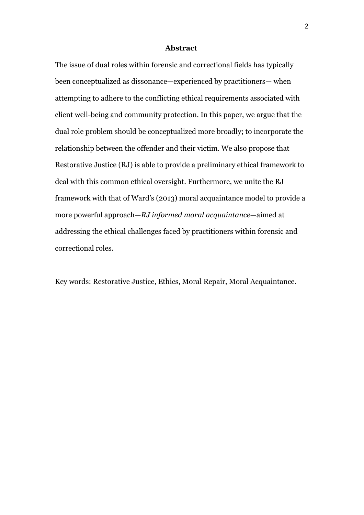#### **Abstract**

The issue of dual roles within forensic and correctional fields has typically been conceptualized as dissonance—experienced by practitioners— when attempting to adhere to the conflicting ethical requirements associated with client well-being and community protection. In this paper, we argue that the dual role problem should be conceptualized more broadly; to incorporate the relationship between the offender and their victim. We also propose that Restorative Justice (RJ) is able to provide a preliminary ethical framework to deal with this common ethical oversight. Furthermore, we unite the RJ framework with that of Ward's (2013) moral acquaintance model to provide a more powerful approach—*RJ informed moral acquaintance*—aimed at addressing the ethical challenges faced by practitioners within forensic and correctional roles.

Key words: Restorative Justice, Ethics, Moral Repair, Moral Acquaintance.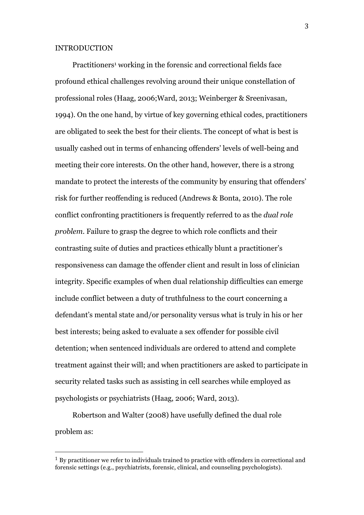#### INTRODUCTION

Practitioners<sup>1</sup> working in the forensic and correctional fields face profound ethical challenges revolving around their unique constellation of professional roles (Haag, 2006;Ward, 2013; Weinberger & Sreenivasan, 1994). On the one hand, by virtue of key governing ethical codes, practitioners are obligated to seek the best for their clients. The concept of what is best is usually cashed out in terms of enhancing offenders' levels of well-being and meeting their core interests. On the other hand, however, there is a strong mandate to protect the interests of the community by ensuring that offenders' risk for further reoffending is reduced (Andrews & Bonta, 2010). The role conflict confronting practitioners is frequently referred to as the *dual role problem*. Failure to grasp the degree to which role conflicts and their contrasting suite of duties and practices ethically blunt a practitioner's responsiveness can damage the offender client and result in loss of clinician integrity. Specific examples of when dual relationship difficulties can emerge include conflict between a duty of truthfulness to the court concerning a defendant's mental state and/or personality versus what is truly in his or her best interests; being asked to evaluate a sex offender for possible civil detention; when sentenced individuals are ordered to attend and complete treatment against their will; and when practitioners are asked to participate in security related tasks such as assisting in cell searches while employed as psychologists or psychiatrists (Haag, 2006; Ward, 2013).

Robertson and Walter (2008) have usefully defined the dual role problem as:

 $1$  By practitioner we refer to individuals trained to practice with offenders in correctional and forensic settings (e.g., psychiatrists, forensic, clinical, and counseling psychologists).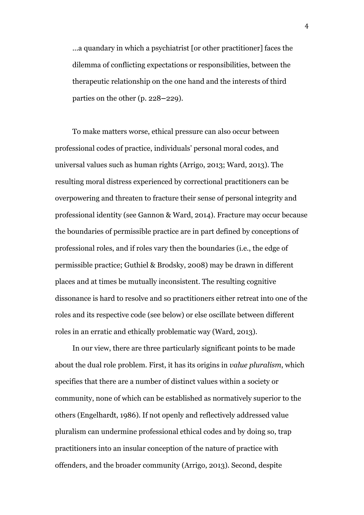...a quandary in which a psychiatrist [or other practitioner] faces the dilemma of conflicting expectations or responsibilities, between the therapeutic relationship on the one hand and the interests of third parties on the other (p. 228**–**229).

To make matters worse, ethical pressure can also occur between professional codes of practice, individuals' personal moral codes, and universal values such as human rights (Arrigo, 2013; Ward, 2013). The resulting moral distress experienced by correctional practitioners can be overpowering and threaten to fracture their sense of personal integrity and professional identity (see Gannon & Ward, 2014). Fracture may occur because the boundaries of permissible practice are in part defined by conceptions of professional roles, and if roles vary then the boundaries (i.e., the edge of permissible practice; Guthiel & Brodsky, 2008) may be drawn in different places and at times be mutually inconsistent. The resulting cognitive dissonance is hard to resolve and so practitioners either retreat into one of the roles and its respective code (see below) or else oscillate between different roles in an erratic and ethically problematic way (Ward, 2013).

In our view, there are three particularly significant points to be made about the dual role problem. First, it has its origins in *value pluralism*, which specifies that there are a number of distinct values within a society or community, none of which can be established as normatively superior to the others (Engelhardt, 1986). If not openly and reflectively addressed value pluralism can undermine professional ethical codes and by doing so, trap practitioners into an insular conception of the nature of practice with offenders, and the broader community (Arrigo, 2013). Second, despite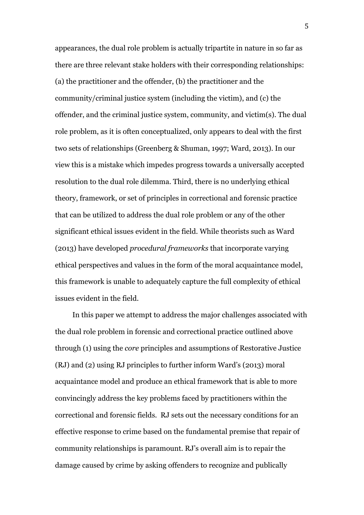appearances, the dual role problem is actually tripartite in nature in so far as there are three relevant stake holders with their corresponding relationships: (a) the practitioner and the offender, (b) the practitioner and the community/criminal justice system (including the victim), and (c) the offender, and the criminal justice system, community, and victim(s). The dual role problem, as it is often conceptualized, only appears to deal with the first two sets of relationships (Greenberg & Shuman, 1997; Ward, 2013). In our view this is a mistake which impedes progress towards a universally accepted resolution to the dual role dilemma. Third, there is no underlying ethical theory, framework, or set of principles in correctional and forensic practice that can be utilized to address the dual role problem or any of the other significant ethical issues evident in the field. While theorists such as Ward (2013) have developed *procedural frameworks* that incorporate varying ethical perspectives and values in the form of the moral acquaintance model, this framework is unable to adequately capture the full complexity of ethical issues evident in the field.

In this paper we attempt to address the major challenges associated with the dual role problem in forensic and correctional practice outlined above through (1) using the *core* principles and assumptions of Restorative Justice (RJ) and (2) using RJ principles to further inform Ward's (2013) moral acquaintance model and produce an ethical framework that is able to more convincingly address the key problems faced by practitioners within the correctional and forensic fields. RJ sets out the necessary conditions for an effective response to crime based on the fundamental premise that repair of community relationships is paramount. RJ's overall aim is to repair the damage caused by crime by asking offenders to recognize and publically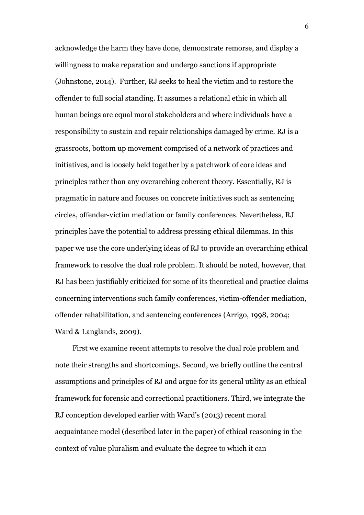acknowledge the harm they have done, demonstrate remorse, and display a willingness to make reparation and undergo sanctions if appropriate (Johnstone, 2014). Further, RJ seeks to heal the victim and to restore the offender to full social standing. It assumes a relational ethic in which all human beings are equal moral stakeholders and where individuals have a responsibility to sustain and repair relationships damaged by crime. RJ is a grassroots, bottom up movement comprised of a network of practices and initiatives, and is loosely held together by a patchwork of core ideas and principles rather than any overarching coherent theory. Essentially, RJ is pragmatic in nature and focuses on concrete initiatives such as sentencing circles, offender-victim mediation or family conferences. Nevertheless, RJ principles have the potential to address pressing ethical dilemmas. In this paper we use the core underlying ideas of RJ to provide an overarching ethical framework to resolve the dual role problem. It should be noted, however, that RJ has been justifiably criticized for some of its theoretical and practice claims concerning interventions such family conferences, victim-offender mediation, offender rehabilitation, and sentencing conferences (Arrigo, 1998, 2004; Ward & Langlands, 2009).

First we examine recent attempts to resolve the dual role problem and note their strengths and shortcomings. Second, we briefly outline the central assumptions and principles of RJ and argue for its general utility as an ethical framework for forensic and correctional practitioners. Third, we integrate the RJ conception developed earlier with Ward's (2013) recent moral acquaintance model (described later in the paper) of ethical reasoning in the context of value pluralism and evaluate the degree to which it can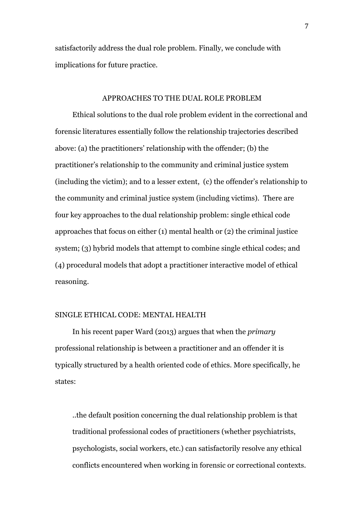satisfactorily address the dual role problem. Finally, we conclude with implications for future practice.

#### APPROACHES TO THE DUAL ROLE PROBLEM

Ethical solutions to the dual role problem evident in the correctional and forensic literatures essentially follow the relationship trajectories described above: (a) the practitioners' relationship with the offender; (b) the practitioner's relationship to the community and criminal justice system (including the victim); and to a lesser extent, (c) the offender's relationship to the community and criminal justice system (including victims). There are four key approaches to the dual relationship problem: single ethical code approaches that focus on either (1) mental health or (2) the criminal justice system; (3) hybrid models that attempt to combine single ethical codes; and (4) procedural models that adopt a practitioner interactive model of ethical reasoning.

#### SINGLE ETHICAL CODE: MENTAL HEALTH

In his recent paper Ward (2013) argues that when the *primary*  professional relationship is between a practitioner and an offender it is typically structured by a health oriented code of ethics. More specifically, he states:

..the default position concerning the dual relationship problem is that traditional professional codes of practitioners (whether psychiatrists, psychologists, social workers, etc.) can satisfactorily resolve any ethical conflicts encountered when working in forensic or correctional contexts.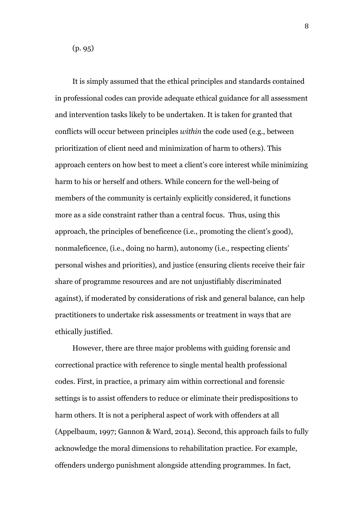(p. 95)

It is simply assumed that the ethical principles and standards contained in professional codes can provide adequate ethical guidance for all assessment and intervention tasks likely to be undertaken. It is taken for granted that conflicts will occur between principles *within* the code used (e.g., between prioritization of client need and minimization of harm to others). This approach centers on how best to meet a client's core interest while minimizing harm to his or herself and others. While concern for the well-being of members of the community is certainly explicitly considered, it functions more as a side constraint rather than a central focus. Thus, using this approach, the principles of beneficence (i.e., promoting the client's good), nonmaleficence, (i.e., doing no harm), autonomy (i.e., respecting clients' personal wishes and priorities), and justice (ensuring clients receive their fair share of programme resources and are not unjustifiably discriminated against), if moderated by considerations of risk and general balance, can help practitioners to undertake risk assessments or treatment in ways that are ethically justified.

However, there are three major problems with guiding forensic and correctional practice with reference to single mental health professional codes. First, in practice, a primary aim within correctional and forensic settings is to assist offenders to reduce or eliminate their predispositions to harm others. It is not a peripheral aspect of work with offenders at all (Appelbaum, 1997; Gannon & Ward, 2014). Second, this approach fails to fully acknowledge the moral dimensions to rehabilitation practice. For example, offenders undergo punishment alongside attending programmes. In fact,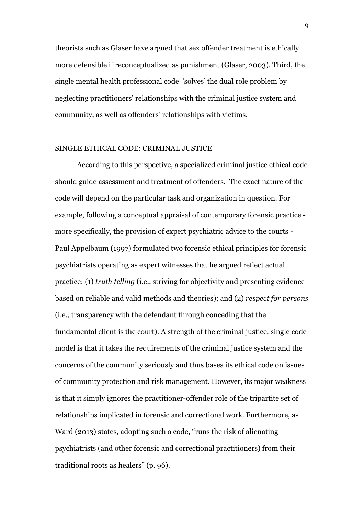theorists such as Glaser have argued that sex offender treatment is ethically more defensible if reconceptualized as punishment (Glaser, 2003). Third, the single mental health professional code 'solves' the dual role problem by neglecting practitioners' relationships with the criminal justice system and community, as well as offenders' relationships with victims.

#### SINGLE ETHICAL CODE: CRIMINAL JUSTICE

According to this perspective, a specialized criminal justice ethical code should guide assessment and treatment of offenders. The exact nature of the code will depend on the particular task and organization in question. For example, following a conceptual appraisal of contemporary forensic practice more specifically, the provision of expert psychiatric advice to the courts - Paul Appelbaum (1997) formulated two forensic ethical principles for forensic psychiatrists operating as expert witnesses that he argued reflect actual practice: (1) *truth telling* (i.e., striving for objectivity and presenting evidence based on reliable and valid methods and theories); and (2) *respect for persons* (i.e., transparency with the defendant through conceding that the fundamental client is the court). A strength of the criminal justice, single code model is that it takes the requirements of the criminal justice system and the concerns of the community seriously and thus bases its ethical code on issues of community protection and risk management. However, its major weakness is that it simply ignores the practitioner-offender role of the tripartite set of relationships implicated in forensic and correctional work. Furthermore, as Ward (2013) states, adopting such a code, "runs the risk of alienating psychiatrists (and other forensic and correctional practitioners) from their traditional roots as healers" (p. 96).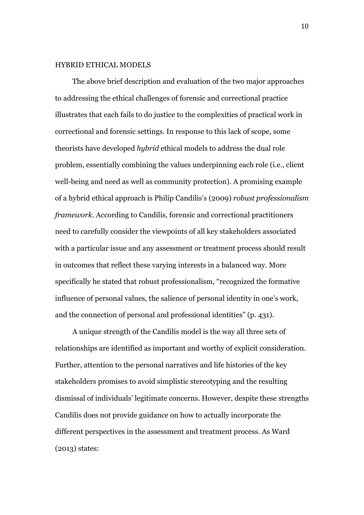#### HYBRID ETHICAL MODELS

The above brief description and evaluation of the two major approaches to addressing the ethical challenges of forensic and correctional practice illustrates that each fails to do justice to the complexities of practical work in correctional and forensic settings. In response to this lack of scope, some theorists have developed *hybrid* ethical models to address the dual role problem, essentially combining the values underpinning each role (i.e., client well-being and need as well as community protection). A promising example of a hybrid ethical approach is Philip Candilis's (2009) *robust professionalism framework*. According to Candilis, forensic and correctional practitioners need to carefully consider the viewpoints of all key stakeholders associated with a particular issue and any assessment or treatment process should result in outcomes that reflect these varying interests in a balanced way. More specifically he stated that robust professionalism, "recognized the formative influence of personal values, the salience of personal identity in one's work, and the connection of personal and professional identities" (p. 431).

A unique strength of the Candilis model is the way all three sets of relationships are identified as important and worthy of explicit consideration. Further, attention to the personal narratives and life histories of the key stakeholders promises to avoid simplistic stereotyping and the resulting dismissal of individuals' legitimate concerns. However, despite these strengths Candilis does not provide guidance on how to actually incorporate the different perspectives in the assessment and treatment process. As Ward (2013) states: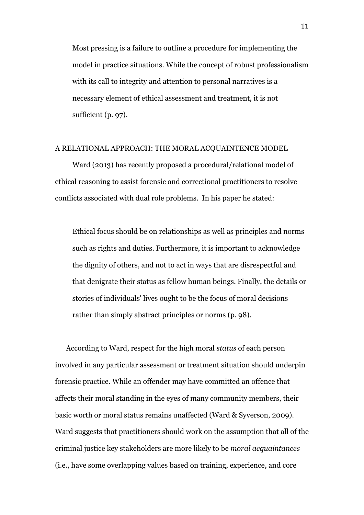Most pressing is a failure to outline a procedure for implementing the model in practice situations. While the concept of robust professionalism with its call to integrity and attention to personal narratives is a necessary element of ethical assessment and treatment, it is not sufficient (p. 97).

#### A RELATIONAL APPROACH: THE MORAL ACQUAINTENCE MODEL

Ward (2013) has recently proposed a procedural/relational model of ethical reasoning to assist forensic and correctional practitioners to resolve conflicts associated with dual role problems. In his paper he stated:

Ethical focus should be on relationships as well as principles and norms such as rights and duties. Furthermore, it is important to acknowledge the dignity of others, and not to act in ways that are disrespectful and that denigrate their status as fellow human beings. Finally, the details or stories of individuals' lives ought to be the focus of moral decisions rather than simply abstract principles or norms (p. 98).

According to Ward, respect for the high moral *status* of each person involved in any particular assessment or treatment situation should underpin forensic practice. While an offender may have committed an offence that affects their moral standing in the eyes of many community members, their basic worth or moral status remains unaffected (Ward & Syverson, 2009). Ward suggests that practitioners should work on the assumption that all of the criminal justice key stakeholders are more likely to be *moral acquaintances* (i.e., have some overlapping values based on training, experience, and core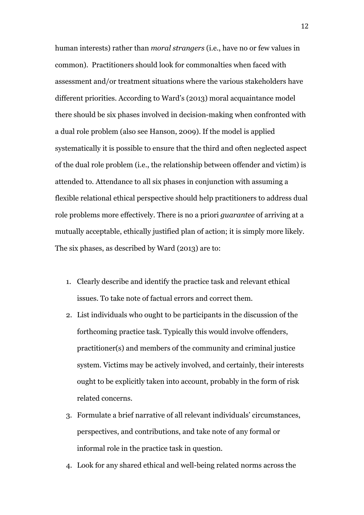human interests) rather than *moral strangers* (i.e., have no or few values in common). Practitioners should look for commonalties when faced with assessment and/or treatment situations where the various stakeholders have different priorities. According to Ward's (2013) moral acquaintance model there should be six phases involved in decision-making when confronted with a dual role problem (also see Hanson, 2009). If the model is applied systematically it is possible to ensure that the third and often neglected aspect of the dual role problem (i.e., the relationship between offender and victim) is attended to. Attendance to all six phases in conjunction with assuming a flexible relational ethical perspective should help practitioners to address dual role problems more effectively. There is no a priori *guarantee* of arriving at a mutually acceptable, ethically justified plan of action; it is simply more likely. The six phases, as described by Ward (2013) are to:

- 1. Clearly describe and identify the practice task and relevant ethical issues. To take note of factual errors and correct them.
- 2. List individuals who ought to be participants in the discussion of the forthcoming practice task. Typically this would involve offenders, practitioner(s) and members of the community and criminal justice system. Victims may be actively involved, and certainly, their interests ought to be explicitly taken into account, probably in the form of risk related concerns.
- 3. Formulate a brief narrative of all relevant individuals' circumstances, perspectives, and contributions, and take note of any formal or informal role in the practice task in question.
- 4. Look for any shared ethical and well-being related norms across the

12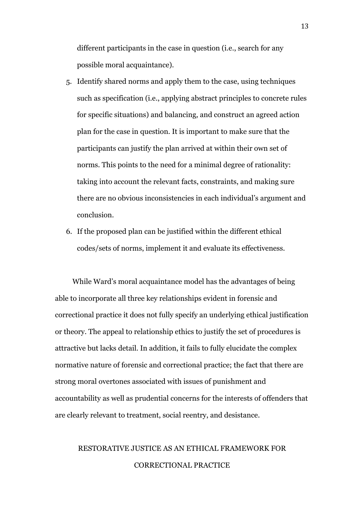different participants in the case in question (i.e., search for any possible moral acquaintance).

- 5. Identify shared norms and apply them to the case, using techniques such as specification (i.e., applying abstract principles to concrete rules for specific situations) and balancing, and construct an agreed action plan for the case in question. It is important to make sure that the participants can justify the plan arrived at within their own set of norms. This points to the need for a minimal degree of rationality: taking into account the relevant facts, constraints, and making sure there are no obvious inconsistencies in each individual's argument and conclusion.
- 6. If the proposed plan can be justified within the different ethical codes/sets of norms, implement it and evaluate its effectiveness.

While Ward's moral acquaintance model has the advantages of being able to incorporate all three key relationships evident in forensic and correctional practice it does not fully specify an underlying ethical justification or theory. The appeal to relationship ethics to justify the set of procedures is attractive but lacks detail. In addition, it fails to fully elucidate the complex normative nature of forensic and correctional practice; the fact that there are strong moral overtones associated with issues of punishment and accountability as well as prudential concerns for the interests of offenders that are clearly relevant to treatment, social reentry, and desistance.

## RESTORATIVE JUSTICE AS AN ETHICAL FRAMEWORK FOR CORRECTIONAL PRACTICE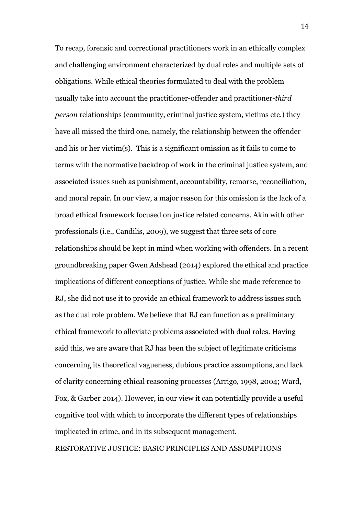To recap, forensic and correctional practitioners work in an ethically complex and challenging environment characterized by dual roles and multiple sets of obligations. While ethical theories formulated to deal with the problem usually take into account the practitioner-offender and practitioner-*third person* relationships (community, criminal justice system, victims etc.) they have all missed the third one, namely, the relationship between the offender and his or her victim(s). This is a significant omission as it fails to come to terms with the normative backdrop of work in the criminal justice system, and associated issues such as punishment, accountability, remorse, reconciliation, and moral repair. In our view, a major reason for this omission is the lack of a broad ethical framework focused on justice related concerns. Akin with other professionals (i.e., Candilis, 2009), we suggest that three sets of core relationships should be kept in mind when working with offenders. In a recent groundbreaking paper Gwen Adshead (2014) explored the ethical and practice implications of different conceptions of justice. While she made reference to RJ, she did not use it to provide an ethical framework to address issues such as the dual role problem. We believe that RJ can function as a preliminary ethical framework to alleviate problems associated with dual roles. Having said this, we are aware that RJ has been the subject of legitimate criticisms concerning its theoretical vagueness, dubious practice assumptions, and lack of clarity concerning ethical reasoning processes (Arrigo, 1998, 2004; Ward, Fox, & Garber 2014). However, in our view it can potentially provide a useful cognitive tool with which to incorporate the different types of relationships implicated in crime, and in its subsequent management.

RESTORATIVE JUSTICE: BASIC PRINCIPLES AND ASSUMPTIONS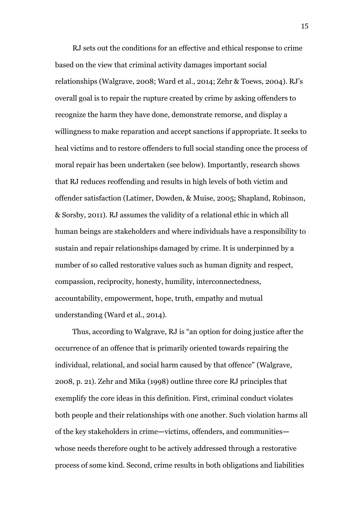RJ sets out the conditions for an effective and ethical response to crime based on the view that criminal activity damages important social relationships (Walgrave, 2008; Ward et al., 2014; Zehr & Toews, 2004). RJ's overall goal is to repair the rupture created by crime by asking offenders to recognize the harm they have done, demonstrate remorse, and display a willingness to make reparation and accept sanctions if appropriate. It seeks to heal victims and to restore offenders to full social standing once the process of moral repair has been undertaken (see below). Importantly, research shows that RJ reduces reoffending and results in high levels of both victim and offender satisfaction (Latimer, Dowden, & Muise, 2005; Shapland, Robinson, & Sorsby, 2011). RJ assumes the validity of a relational ethic in which all human beings are stakeholders and where individuals have a responsibility to sustain and repair relationships damaged by crime. It is underpinned by a number of so called restorative values such as human dignity and respect, compassion, reciprocity, honesty, humility, interconnectedness, accountability, empowerment, hope, truth, empathy and mutual understanding (Ward et al., 2014).

Thus, according to Walgrave, RJ is "an option for doing justice after the occurrence of an offence that is primarily oriented towards repairing the individual, relational, and social harm caused by that offence" (Walgrave, 2008, p. 21). Zehr and Mika (1998) outline three core RJ principles that exemplify the core ideas in this definition. First, criminal conduct violates both people and their relationships with one another. Such violation harms all of the key stakeholders in crime**—**victims, offenders, and communities whose needs therefore ought to be actively addressed through a restorative process of some kind. Second, crime results in both obligations and liabilities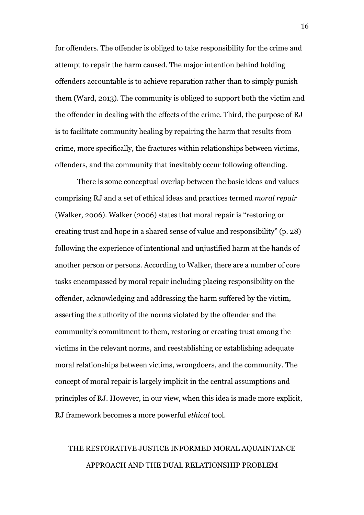for offenders. The offender is obliged to take responsibility for the crime and attempt to repair the harm caused. The major intention behind holding offenders accountable is to achieve reparation rather than to simply punish them (Ward, 2013). The community is obliged to support both the victim and the offender in dealing with the effects of the crime. Third, the purpose of RJ is to facilitate community healing by repairing the harm that results from crime, more specifically, the fractures within relationships between victims, offenders, and the community that inevitably occur following offending.

There is some conceptual overlap between the basic ideas and values comprising RJ and a set of ethical ideas and practices termed *moral repair*  (Walker, 2006). Walker (2006) states that moral repair is "restoring or creating trust and hope in a shared sense of value and responsibility" (p. 28) following the experience of intentional and unjustified harm at the hands of another person or persons. According to Walker, there are a number of core tasks encompassed by moral repair including placing responsibility on the offender, acknowledging and addressing the harm suffered by the victim, asserting the authority of the norms violated by the offender and the community's commitment to them, restoring or creating trust among the victims in the relevant norms, and reestablishing or establishing adequate moral relationships between victims, wrongdoers, and the community. The concept of moral repair is largely implicit in the central assumptions and principles of RJ. However, in our view, when this idea is made more explicit, RJ framework becomes a more powerful *ethical* tool.

## THE RESTORATIVE JUSTICE INFORMED MORAL AQUAINTANCE APPROACH AND THE DUAL RELATIONSHIP PROBLEM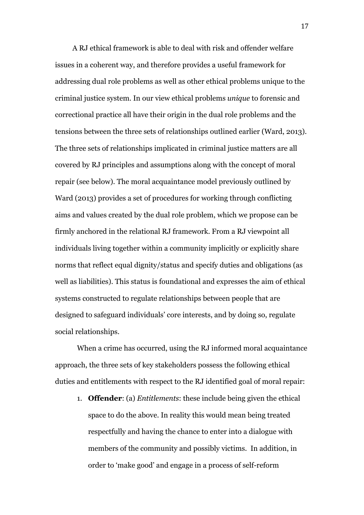A RJ ethical framework is able to deal with risk and offender welfare issues in a coherent way, and therefore provides a useful framework for addressing dual role problems as well as other ethical problems unique to the criminal justice system. In our view ethical problems *unique* to forensic and correctional practice all have their origin in the dual role problems and the tensions between the three sets of relationships outlined earlier (Ward, 2013). The three sets of relationships implicated in criminal justice matters are all covered by RJ principles and assumptions along with the concept of moral repair (see below). The moral acquaintance model previously outlined by Ward (2013) provides a set of procedures for working through conflicting aims and values created by the dual role problem, which we propose can be firmly anchored in the relational RJ framework. From a RJ viewpoint all individuals living together within a community implicitly or explicitly share norms that reflect equal dignity/status and specify duties and obligations (as well as liabilities). This status is foundational and expresses the aim of ethical systems constructed to regulate relationships between people that are designed to safeguard individuals' core interests, and by doing so, regulate social relationships.

When a crime has occurred, using the RJ informed moral acquaintance approach, the three sets of key stakeholders possess the following ethical duties and entitlements with respect to the RJ identified goal of moral repair:

1. **Offender**: (a) *Entitlements*: these include being given the ethical space to do the above. In reality this would mean being treated respectfully and having the chance to enter into a dialogue with members of the community and possibly victims. In addition, in order to 'make good' and engage in a process of self-reform

17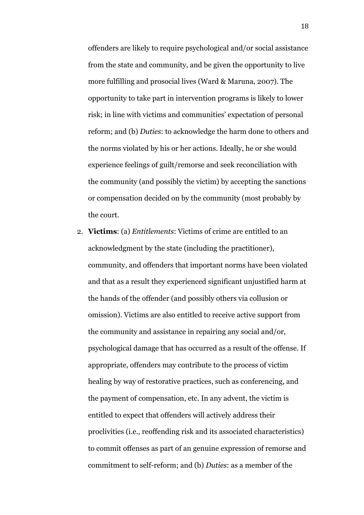offenders are likely to require psychological and/or social assistance from the state and community, and be given the opportunity to live more fulfilling and prosocial lives (Ward & Maruna, 2007). The opportunity to take part in intervention programs is likely to lower risk; in line with victims and communities' expectation of personal reform; and (b) *Duties*: to acknowledge the harm done to others and the norms violated by his or her actions. Ideally, he or she would experience feelings of guilt/remorse and seek reconciliation with the community (and possibly the victim) by accepting the sanctions or compensation decided on by the community (most probably by the court.

2. **Victims**: (a) *Entitlements*: Victims of crime are entitled to an acknowledgment by the state (including the practitioner), community, and offenders that important norms have been violated and that as a result they experienced significant unjustified harm at the hands of the offender (and possibly others via collusion or omission). Victims are also entitled to receive active support from the community and assistance in repairing any social and/or, psychological damage that has occurred as a result of the offense. If appropriate, offenders may contribute to the process of victim healing by way of restorative practices, such as conferencing, and the payment of compensation, etc. In any advent, the victim is entitled to expect that offenders will actively address their proclivities (i.e., reoffending risk and its associated characteristics) to commit offenses as part of an genuine expression of remorse and commitment to self-reform; and (b) *Duties*: as a member of the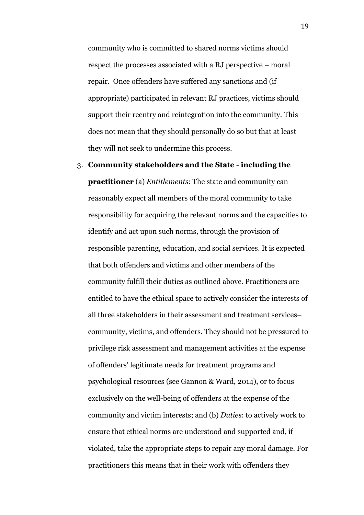community who is committed to shared norms victims should respect the processes associated with a RJ perspective – moral repair. Once offenders have suffered any sanctions and (if appropriate) participated in relevant RJ practices, victims should support their reentry and reintegration into the community. This does not mean that they should personally do so but that at least they will not seek to undermine this process.

3. **Community stakeholders and the State - including the practitioner** (a) *Entitlements*: The state and community can reasonably expect all members of the moral community to take responsibility for acquiring the relevant norms and the capacities to identify and act upon such norms, through the provision of responsible parenting, education, and social services. It is expected that both offenders and victims and other members of the community fulfill their duties as outlined above. Practitioners are entitled to have the ethical space to actively consider the interests of all three stakeholders in their assessment and treatment services– community, victims, and offenders. They should not be pressured to privilege risk assessment and management activities at the expense of offenders' legitimate needs for treatment programs and psychological resources (see Gannon & Ward, 2014), or to focus exclusively on the well-being of offenders at the expense of the community and victim interests; and (b) *Duties*: to actively work to ensure that ethical norms are understood and supported and, if violated, take the appropriate steps to repair any moral damage. For practitioners this means that in their work with offenders they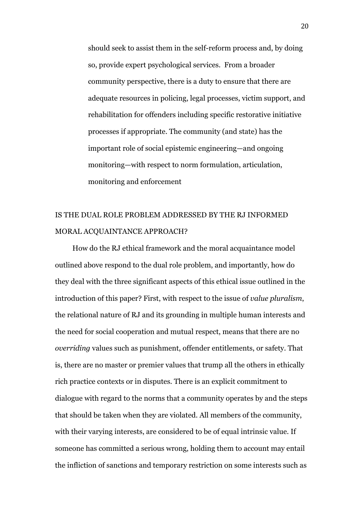should seek to assist them in the self-reform process and, by doing so, provide expert psychological services. From a broader community perspective, there is a duty to ensure that there are adequate resources in policing, legal processes, victim support, and rehabilitation for offenders including specific restorative initiative processes if appropriate. The community (and state) has the important role of social epistemic engineering—and ongoing monitoring—with respect to norm formulation, articulation, monitoring and enforcement

## IS THE DUAL ROLE PROBLEM ADDRESSED BY THE RJ INFORMED MORAL ACQUAINTANCE APPROACH?

How do the RJ ethical framework and the moral acquaintance model outlined above respond to the dual role problem, and importantly, how do they deal with the three significant aspects of this ethical issue outlined in the introduction of this paper? First, with respect to the issue of *value pluralism*, the relational nature of RJ and its grounding in multiple human interests and the need for social cooperation and mutual respect, means that there are no *overriding* values such as punishment, offender entitlements, or safety. That is, there are no master or premier values that trump all the others in ethically rich practice contexts or in disputes. There is an explicit commitment to dialogue with regard to the norms that a community operates by and the steps that should be taken when they are violated. All members of the community, with their varying interests, are considered to be of equal intrinsic value. If someone has committed a serious wrong, holding them to account may entail the infliction of sanctions and temporary restriction on some interests such as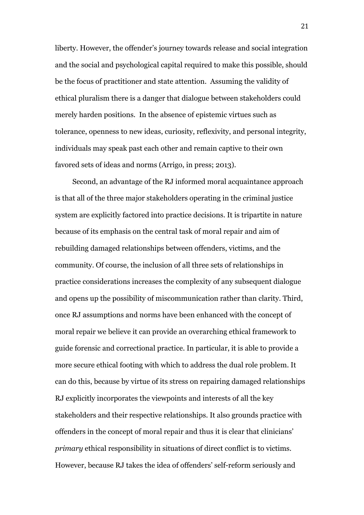liberty. However, the offender's journey towards release and social integration and the social and psychological capital required to make this possible, should be the focus of practitioner and state attention. Assuming the validity of ethical pluralism there is a danger that dialogue between stakeholders could merely harden positions. In the absence of epistemic virtues such as tolerance, openness to new ideas, curiosity, reflexivity, and personal integrity, individuals may speak past each other and remain captive to their own favored sets of ideas and norms (Arrigo, in press; 2013).

Second, an advantage of the RJ informed moral acquaintance approach is that all of the three major stakeholders operating in the criminal justice system are explicitly factored into practice decisions. It is tripartite in nature because of its emphasis on the central task of moral repair and aim of rebuilding damaged relationships between offenders, victims, and the community. Of course, the inclusion of all three sets of relationships in practice considerations increases the complexity of any subsequent dialogue and opens up the possibility of miscommunication rather than clarity. Third, once RJ assumptions and norms have been enhanced with the concept of moral repair we believe it can provide an overarching ethical framework to guide forensic and correctional practice. In particular, it is able to provide a more secure ethical footing with which to address the dual role problem. It can do this, because by virtue of its stress on repairing damaged relationships RJ explicitly incorporates the viewpoints and interests of all the key stakeholders and their respective relationships. It also grounds practice with offenders in the concept of moral repair and thus it is clear that clinicians' *primary* ethical responsibility in situations of direct conflict is to victims. However, because RJ takes the idea of offenders' self-reform seriously and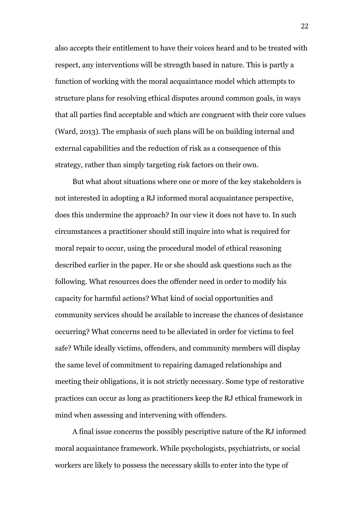also accepts their entitlement to have their voices heard and to be treated with respect, any interventions will be strength based in nature. This is partly a function of working with the moral acquaintance model which attempts to structure plans for resolving ethical disputes around common goals, in ways that all parties find acceptable and which are congruent with their core values (Ward, 2013). The emphasis of such plans will be on building internal and external capabilities and the reduction of risk as a consequence of this strategy, rather than simply targeting risk factors on their own.

But what about situations where one or more of the key stakeholders is not interested in adopting a RJ informed moral acquaintance perspective, does this undermine the approach? In our view it does not have to. In such circumstances a practitioner should still inquire into what is required for moral repair to occur, using the procedural model of ethical reasoning described earlier in the paper. He or she should ask questions such as the following. What resources does the offender need in order to modify his capacity for harmful actions? What kind of social opportunities and community services should be available to increase the chances of desistance occurring? What concerns need to be alleviated in order for victims to feel safe? While ideally victims, offenders, and community members will display the same level of commitment to repairing damaged relationships and meeting their obligations, it is not strictly necessary. Some type of restorative practices can occur as long as practitioners keep the RJ ethical framework in mind when assessing and intervening with offenders.

A final issue concerns the possibly pescriptive nature of the RJ informed moral acquaintance framework. While psychologists, psychiatrists, or social workers are likely to possess the necessary skills to enter into the type of

22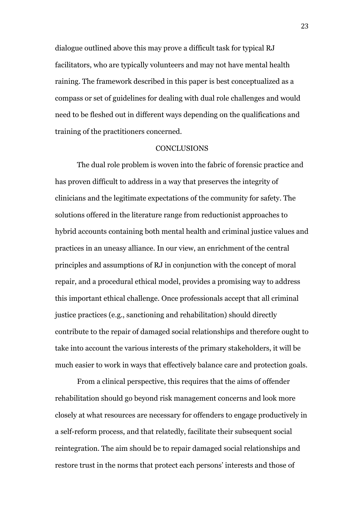dialogue outlined above this may prove a difficult task for typical RJ facilitators, who are typically volunteers and may not have mental health raining. The framework described in this paper is best conceptualized as a compass or set of guidelines for dealing with dual role challenges and would need to be fleshed out in different ways depending on the qualifications and training of the practitioners concerned.

#### **CONCLUSIONS**

The dual role problem is woven into the fabric of forensic practice and has proven difficult to address in a way that preserves the integrity of clinicians and the legitimate expectations of the community for safety. The solutions offered in the literature range from reductionist approaches to hybrid accounts containing both mental health and criminal justice values and practices in an uneasy alliance. In our view, an enrichment of the central principles and assumptions of RJ in conjunction with the concept of moral repair, and a procedural ethical model, provides a promising way to address this important ethical challenge. Once professionals accept that all criminal justice practices (e.g., sanctioning and rehabilitation) should directly contribute to the repair of damaged social relationships and therefore ought to take into account the various interests of the primary stakeholders, it will be much easier to work in ways that effectively balance care and protection goals.

From a clinical perspective, this requires that the aims of offender rehabilitation should go beyond risk management concerns and look more closely at what resources are necessary for offenders to engage productively in a self-reform process, and that relatedly, facilitate their subsequent social reintegration. The aim should be to repair damaged social relationships and restore trust in the norms that protect each persons' interests and those of

23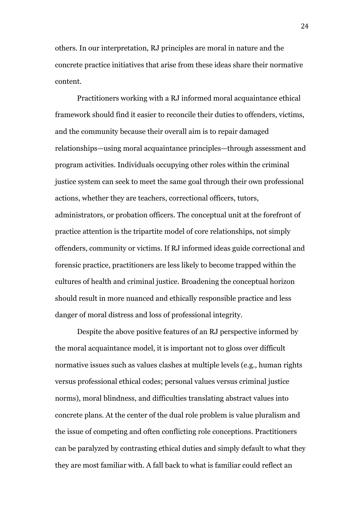others. In our interpretation, RJ principles are moral in nature and the concrete practice initiatives that arise from these ideas share their normative content.

Practitioners working with a RJ informed moral acquaintance ethical framework should find it easier to reconcile their duties to offenders, victims, and the community because their overall aim is to repair damaged relationships—using moral acquaintance principles—through assessment and program activities. Individuals occupying other roles within the criminal justice system can seek to meet the same goal through their own professional actions, whether they are teachers, correctional officers, tutors, administrators, or probation officers. The conceptual unit at the forefront of practice attention is the tripartite model of core relationships, not simply offenders, community or victims. If RJ informed ideas guide correctional and forensic practice, practitioners are less likely to become trapped within the cultures of health and criminal justice. Broadening the conceptual horizon should result in more nuanced and ethically responsible practice and less danger of moral distress and loss of professional integrity.

Despite the above positive features of an RJ perspective informed by the moral acquaintance model, it is important not to gloss over difficult normative issues such as values clashes at multiple levels (e.g., human rights versus professional ethical codes; personal values versus criminal justice norms), moral blindness, and difficulties translating abstract values into concrete plans. At the center of the dual role problem is value pluralism and the issue of competing and often conflicting role conceptions. Practitioners can be paralyzed by contrasting ethical duties and simply default to what they they are most familiar with. A fall back to what is familiar could reflect an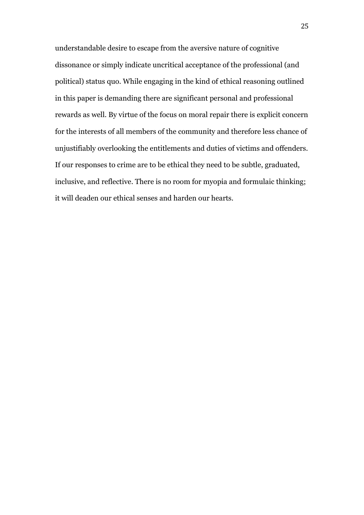understandable desire to escape from the aversive nature of cognitive dissonance or simply indicate uncritical acceptance of the professional (and political) status quo. While engaging in the kind of ethical reasoning outlined in this paper is demanding there are significant personal and professional rewards as well. By virtue of the focus on moral repair there is explicit concern for the interests of all members of the community and therefore less chance of unjustifiably overlooking the entitlements and duties of victims and offenders. If our responses to crime are to be ethical they need to be subtle, graduated, inclusive, and reflective. There is no room for myopia and formulaic thinking; it will deaden our ethical senses and harden our hearts.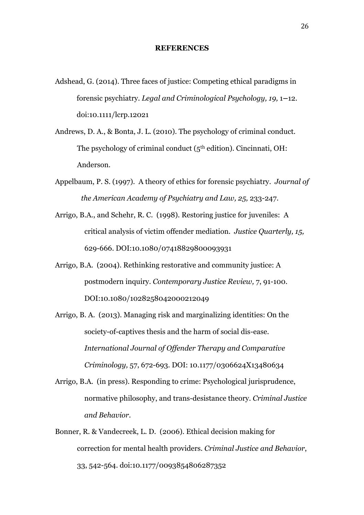#### **REFERENCES**

- Adshead, G. (2014). Three faces of justice: Competing ethical paradigms in forensic psychiatry. *Legal and Criminological Psychology, 19,* 1**–**12. doi:10.1111/lcrp.12021
- Andrews, D. A., & Bonta, J. L. (2010). The psychology of criminal conduct. The psychology of criminal conduct ( $5<sup>th</sup>$  edition). Cincinnati, OH: Anderson.
- Appelbaum, P. S. (1997). A theory of ethics for forensic psychiatry. *Journal of the American Academy of Psychiatry and Law, 25,* 233-247.
- Arrigo, B.A., and Schehr, R. C. (1998). Restoring justice for juveniles: A critical analysis of victim offender mediation. *Justice Quarterly, 15,* 629-666. DOI:10.1080/07418829800093931
- Arrigo, B.A. (2004). Rethinking restorative and community justice: A postmodern inquiry. *Contemporary Justice Review,* 7, 91-100. DOI:10.1080/1028258042000212049
- Arrigo, B. A. (2013). Managing risk and marginalizing identities: On the society-of-captives thesis and the harm of social dis-ease. *International Journal of Offender Therapy and Comparative Criminology,* 57, 672-693. DOI: 10.1177/0306624X13480634
- Arrigo, B.A. (in press). Responding to crime: Psychological jurisprudence, normative philosophy, and trans-desistance theory. *Criminal Justice and Behavior.*
- Bonner, R. & Vandecreek, L. D. (2006). Ethical decision making for correction for mental health providers. *Criminal Justice and Behavior*, 33, 542-564. doi:10.1177/0093854806287352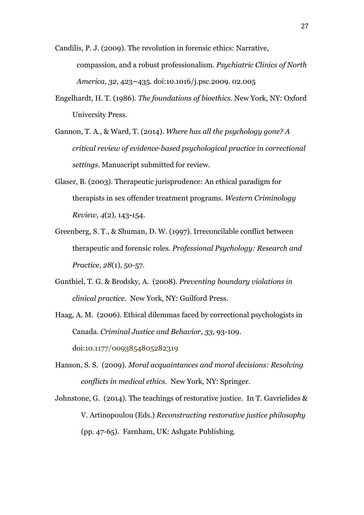Candilis, P. J. (2009). The revolution in forensic ethics: Narrative, compassion, and a robust professionalism. *Psychiatric Clinics of North America, 32*, 423**–**435. doi:10.1016/j.psc.2009. 02.005

- Engelhardt, H. T. (1986). *The foundations of bioethics*. New York, NY: Oxford University Press.
- Gannon, T. A., & Ward, T. (2014). *Where has all the psychology gone? A critical review of evidence-based psychological practice in correctional settings.* Manuscript submitted for review.
- Glaser, B. (2003). Therapeutic jurisprudence: An ethical paradigm for therapists in sex offender treatment programs. *Western Criminology Review, 4*(2)*,* 143**-**154.
- Greenberg, S. T., & Shuman, D. W. (1997). Irreconcilable conflict between therapeutic and forensic roles. *Professional Psychology: Research and Practice, 28*(1), 50-57.
- Gunthiel, T. G. & Brodsky, A. (2008). *Preventing boundary violations in clinical practice.* New York, NY: Guilford Press.
- Haag, A. M. (2006). Ethical dilemmas faced by correctional psychologists in Canada. *Criminal Justice and Behavior, 33,* 93-109. doi:10.1177/0093854805282319
- Hanson, S. S. (2009). *Moral acquaintances and moral decisions: Resolving conflicts in medical ethics.* New York, NY: Springer.
- Johnstone, G. (2014). The teachings of restorative justice. In T. Gavrielides & V. Artinopoulou (Eds.) *Reconstructing restorative justice philosophy*  (pp. 47-65). Farnham, UK: Ashgate Publishing.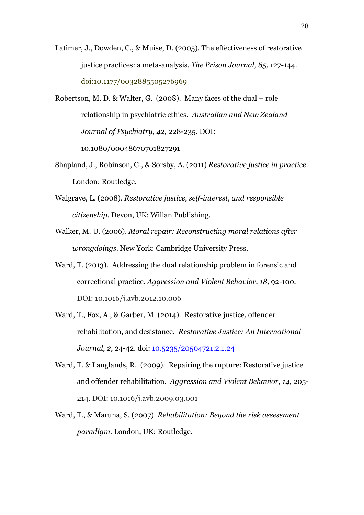- Latimer, J., Dowden, C., & Muise, D. (2005). The effectiveness of restorative justice practices: a meta-analysis. *The Prison Journal, 85*, 127-144. doi:10.1177/0032885505276969
- Robertson, M. D. & Walter, G. (2008). Many faces of the dual role relationship in psychiatric ethics. *Australian and New Zealand Journal of Psychiatry, 42,* 228-235. DOI: 10.1080/00048670701827291
- Shapland, J., Robinson, G., & Sorsby, A. (2011) *Restorative justice in practice*. London: Routledge.
- Walgrave, L. (2008). *Restorative justice, self-interest, and responsible citizenship.* Devon, UK: Willan Publishing.
- Walker, M. U. (2006). *Moral repair: Reconstructing moral relations after wrongdoings.* New York: Cambridge University Press.
- Ward, T. (2013). Addressing the dual relationship problem in forensic and correctional practice. *Aggression and Violent Behavior, 18,* 92-100*.* DOI: 10.1016/j.avb.2012.10.006
- Ward, T., Fox, A., & Garber, M. (2014). Restorative justice, offender rehabilitation, and desistance. *Restorative Justice: An International Journal, 2,* 24-42*.* doi: 10.5235/20504721.2.1.24
- Ward, T. & Langlands, R. (2009). Repairing the rupture: Restorative justice and offender rehabilitation. *Aggression and Violent Behavior, 14,* 205- 214. DOI: 10.1016/j.avb.2009.03.001
- Ward, T., & Maruna, S. (2007). *Rehabilitation: Beyond the risk assessment paradigm.* London, UK: Routledge.